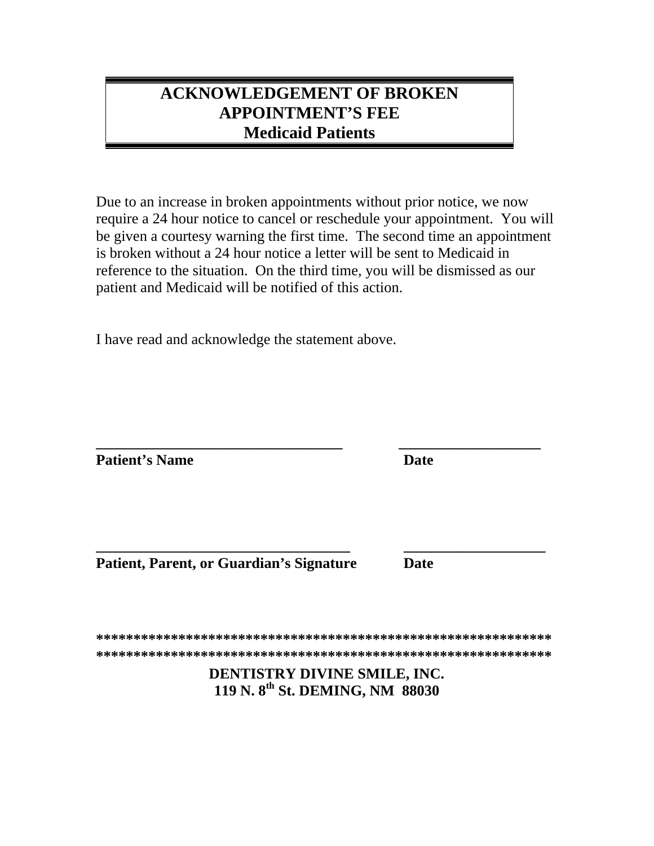## **ACKNOWLEDGEMENT OF BROKEN APPOINTMENT'S FEE Medicaid Patients**

Due to an increase in broken appointments without prior notice, we now require a 24 hour notice to cancel or reschedule your appointment. You will be given a courtesy warning the first time. The second time an appointment is broken without a 24 hour notice a letter will be sent to Medicaid in reference to the situation. On the third time, you will be dismissed as our patient and Medicaid will be notified of this action.

I have read and acknowledge the statement above.

**Patient's Name** 

**Date** 

**Patient, Parent, or Guardian's Signature** 

**Date** 

DENTISTRY DIVINE SMILE, INC. 119 N. 8<sup>th</sup> St. DEMING, NM 88030